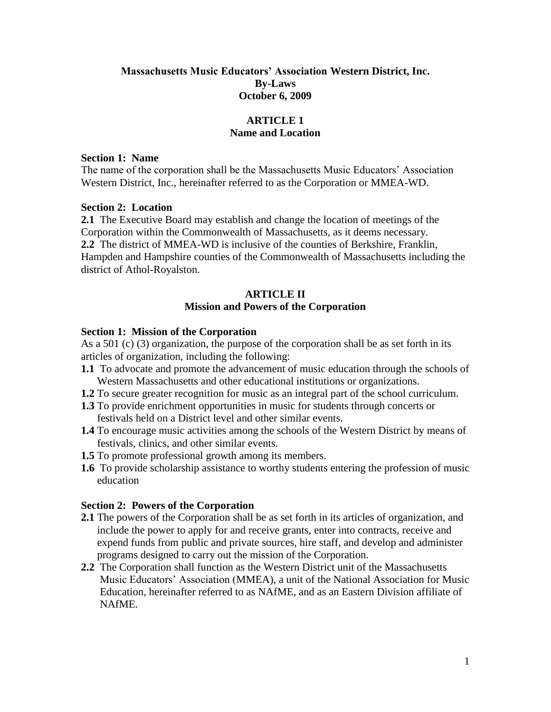## **Massachusetts Music Educators' Association Western District, Inc. By-Laws October 6, 2009**

## **ARTICLE 1 Name and Location**

### **Section 1: Name**

The name of the corporation shall be the Massachusetts Music Educators' Association Western District, Inc., hereinafter referred to as the Corporation or MMEA-WD.

### **Section 2: Location**

**2.1** The Executive Board may establish and change the location of meetings of the Corporation within the Commonwealth of Massachusetts, as it deems necessary. **2.2** The district of MMEA-WD is inclusive of the counties of Berkshire, Franklin, Hampden and Hampshire counties of the Commonwealth of Massachusetts including the district of Athol-Royalston.

## **ARTICLE II Mission and Powers of the Corporation**

### **Section 1: Mission of the Corporation**

As a 501 (c) (3) organization, the purpose of the corporation shall be as set forth in its articles of organization, including the following:

- **1.1** To advocate and promote the advancement of music education through the schools of Western Massachusetts and other educational institutions or organizations.
- **1.2** To secure greater recognition for music as an integral part of the school curriculum.
- **1.3** To provide enrichment opportunities in music for students through concerts or festivals held on a District level and other similar events.
- **1.4** To encourage music activities among the schools of the Western District by means of festivals, clinics, and other similar events.
- **1.5** To promote professional growth among its members.
- **1.6** To provide scholarship assistance to worthy students entering the profession of music education

### **Section 2: Powers of the Corporation**

- **2.1** The powers of the Corporation shall be as set forth in its articles of organization, and include the power to apply for and receive grants, enter into contracts, receive and expend funds from public and private sources, hire staff, and develop and administer programs designed to carry out the mission of the Corporation.
- **2.2** The Corporation shall function as the Western District unit of the Massachusetts Music Educators' Association (MMEA), a unit of the National Association for Music Education, hereinafter referred to as NAfME, and as an Eastern Division affiliate of NAfME.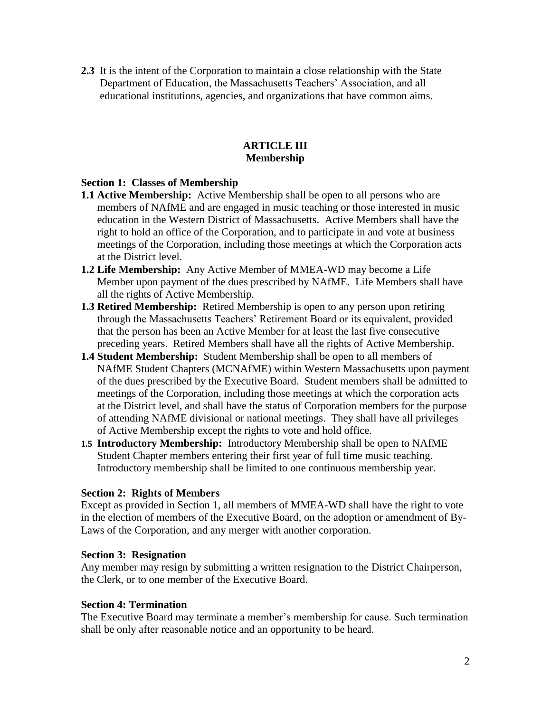**2.3** It is the intent of the Corporation to maintain a close relationship with the State Department of Education, the Massachusetts Teachers' Association, and all educational institutions, agencies, and organizations that have common aims.

# **ARTICLE III Membership**

# **Section 1: Classes of Membership**

- **1.1 Active Membership:** Active Membership shall be open to all persons who are members of NAfME and are engaged in music teaching or those interested in music education in the Western District of Massachusetts. Active Members shall have the right to hold an office of the Corporation, and to participate in and vote at business meetings of the Corporation, including those meetings at which the Corporation acts at the District level.
- **1.2 Life Membership:** Any Active Member of MMEA-WD may become a Life Member upon payment of the dues prescribed by NAfME. Life Members shall have all the rights of Active Membership.
- **1.3 Retired Membership:** Retired Membership is open to any person upon retiring through the Massachusetts Teachers' Retirement Board or its equivalent, provided that the person has been an Active Member for at least the last five consecutive preceding years. Retired Members shall have all the rights of Active Membership.
- **1.4 Student Membership:** Student Membership shall be open to all members of NAfME Student Chapters (MCNAfME) within Western Massachusetts upon payment of the dues prescribed by the Executive Board. Student members shall be admitted to meetings of the Corporation, including those meetings at which the corporation acts at the District level, and shall have the status of Corporation members for the purpose of attending NAfME divisional or national meetings. They shall have all privileges of Active Membership except the rights to vote and hold office.
- **1.5 Introductory Membership:** Introductory Membership shall be open to NAfME Student Chapter members entering their first year of full time music teaching. Introductory membership shall be limited to one continuous membership year.

## **Section 2: Rights of Members**

Except as provided in Section 1, all members of MMEA-WD shall have the right to vote in the election of members of the Executive Board, on the adoption or amendment of By-Laws of the Corporation, and any merger with another corporation.

## **Section 3: Resignation**

Any member may resign by submitting a written resignation to the District Chairperson, the Clerk, or to one member of the Executive Board.

## **Section 4: Termination**

The Executive Board may terminate a member's membership for cause. Such termination shall be only after reasonable notice and an opportunity to be heard.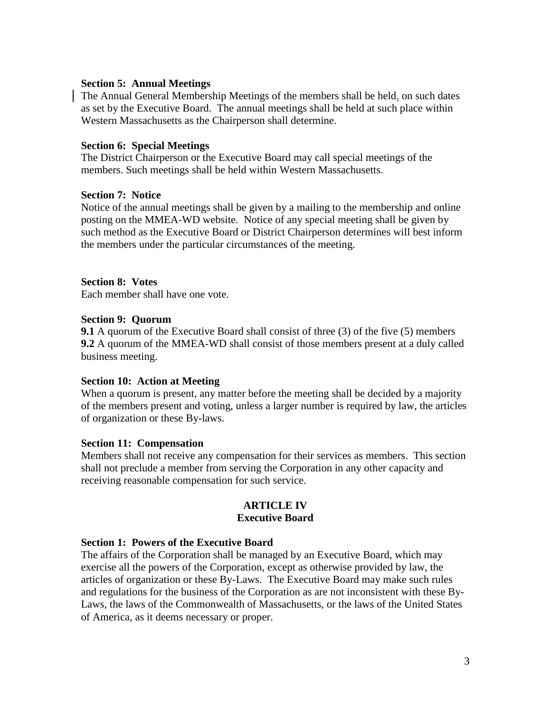## **Section 5: Annual Meetings**

The Annual General Membership Meetings of the members shall be held, on such dates as set by the Executive Board. The annual meetings shall be held at such place within Western Massachusetts as the Chairperson shall determine.

### **Section 6: Special Meetings**

The District Chairperson or the Executive Board may call special meetings of the members. Such meetings shall be held within Western Massachusetts.

### **Section 7: Notice**

Notice of the annual meetings shall be given by a mailing to the membership and online posting on the MMEA-WD website. Notice of any special meeting shall be given by such method as the Executive Board or District Chairperson determines will best inform the members under the particular circumstances of the meeting.

## **Section 8: Votes**

Each member shall have one vote.

### **Section 9: Quorum**

**9.1** A quorum of the Executive Board shall consist of three (3) of the five (5) members **9.2** A quorum of the MMEA-WD shall consist of those members present at a duly called business meeting.

## **Section 10: Action at Meeting**

When a quorum is present, any matter before the meeting shall be decided by a majority of the members present and voting, unless a larger number is required by law, the articles of organization or these By-laws.

### **Section 11: Compensation**

Members shall not receive any compensation for their services as members. This section shall not preclude a member from serving the Corporation in any other capacity and receiving reasonable compensation for such service.

### **ARTICLE IV Executive Board**

### **Section 1: Powers of the Executive Board**

The affairs of the Corporation shall be managed by an Executive Board, which may exercise all the powers of the Corporation, except as otherwise provided by law, the articles of organization or these By-Laws. The Executive Board may make such rules and regulations for the business of the Corporation as are not inconsistent with these By-Laws, the laws of the Commonwealth of Massachusetts, or the laws of the United States of America, as it deems necessary or proper.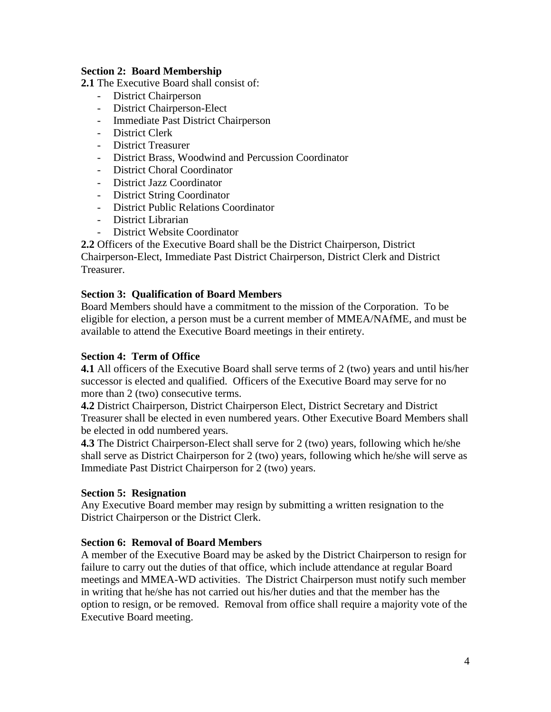## **Section 2: Board Membership**

**2.1** The Executive Board shall consist of:

- District Chairperson
- District Chairperson-Elect
- Immediate Past District Chairperson
- District Clerk
- District Treasurer
- District Brass, Woodwind and Percussion Coordinator
- District Choral Coordinator
- District Jazz Coordinator
- District String Coordinator
- District Public Relations Coordinator
- District Librarian
- District Website Coordinator

**2.2** Officers of the Executive Board shall be the District Chairperson, District Chairperson-Elect, Immediate Past District Chairperson, District Clerk and District Treasurer.

# **Section 3: Qualification of Board Members**

Board Members should have a commitment to the mission of the Corporation. To be eligible for election, a person must be a current member of MMEA/NAfME, and must be available to attend the Executive Board meetings in their entirety.

## **Section 4: Term of Office**

**4.1** All officers of the Executive Board shall serve terms of 2 (two) years and until his/her successor is elected and qualified. Officers of the Executive Board may serve for no more than 2 (two) consecutive terms.

**4.2** District Chairperson, District Chairperson Elect, District Secretary and District Treasurer shall be elected in even numbered years. Other Executive Board Members shall be elected in odd numbered years.

**4.3** The District Chairperson-Elect shall serve for 2 (two) years, following which he/she shall serve as District Chairperson for 2 (two) years, following which he/she will serve as Immediate Past District Chairperson for 2 (two) years.

## **Section 5: Resignation**

Any Executive Board member may resign by submitting a written resignation to the District Chairperson or the District Clerk.

## **Section 6: Removal of Board Members**

A member of the Executive Board may be asked by the District Chairperson to resign for failure to carry out the duties of that office, which include attendance at regular Board meetings and MMEA-WD activities. The District Chairperson must notify such member in writing that he/she has not carried out his/her duties and that the member has the option to resign, or be removed. Removal from office shall require a majority vote of the Executive Board meeting.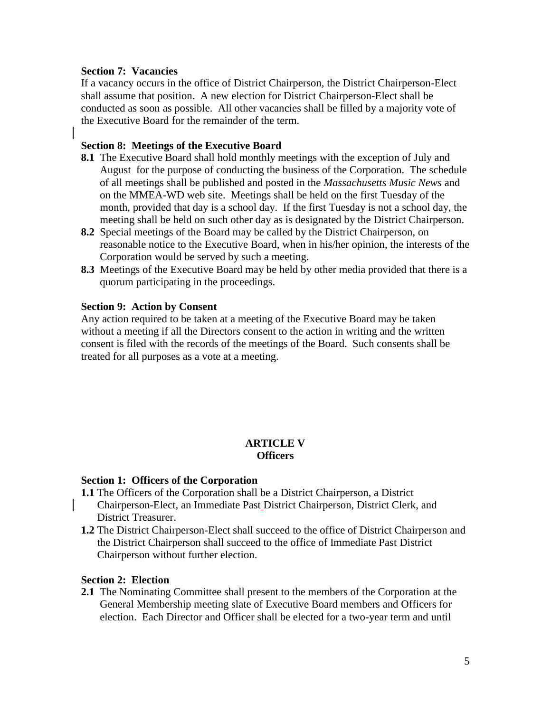## **Section 7: Vacancies**

If a vacancy occurs in the office of District Chairperson, the District Chairperson-Elect shall assume that position. A new election for District Chairperson-Elect shall be conducted as soon as possible. All other vacancies shall be filled by a majority vote of the Executive Board for the remainder of the term.

## **Section 8: Meetings of the Executive Board**

- **8.1** The Executive Board shall hold monthly meetings with the exception of July and August for the purpose of conducting the business of the Corporation. The schedule of all meetings shall be published and posted in the *Massachusetts Music News* and on the MMEA-WD web site. Meetings shall be held on the first Tuesday of the month, provided that day is a school day. If the first Tuesday is not a school day, the meeting shall be held on such other day as is designated by the District Chairperson.
- **8.2** Special meetings of the Board may be called by the District Chairperson, on reasonable notice to the Executive Board, when in his/her opinion, the interests of the Corporation would be served by such a meeting.
- **8.3** Meetings of the Executive Board may be held by other media provided that there is a quorum participating in the proceedings.

## **Section 9: Action by Consent**

Any action required to be taken at a meeting of the Executive Board may be taken without a meeting if all the Directors consent to the action in writing and the written consent is filed with the records of the meetings of the Board. Such consents shall be treated for all purposes as a vote at a meeting.

### **ARTICLE V Officers**

### **Section 1: Officers of the Corporation**

- **1.1** The Officers of the Corporation shall be a District Chairperson, a District Chairperson-Elect, an Immediate Past District Chairperson, District Clerk, and District Treasurer.
- **1.2** The District Chairperson-Elect shall succeed to the office of District Chairperson and the District Chairperson shall succeed to the office of Immediate Past District Chairperson without further election.

### **Section 2: Election**

**2.1** The Nominating Committee shall present to the members of the Corporation at the General Membership meeting slate of Executive Board members and Officers for election. Each Director and Officer shall be elected for a two-year term and until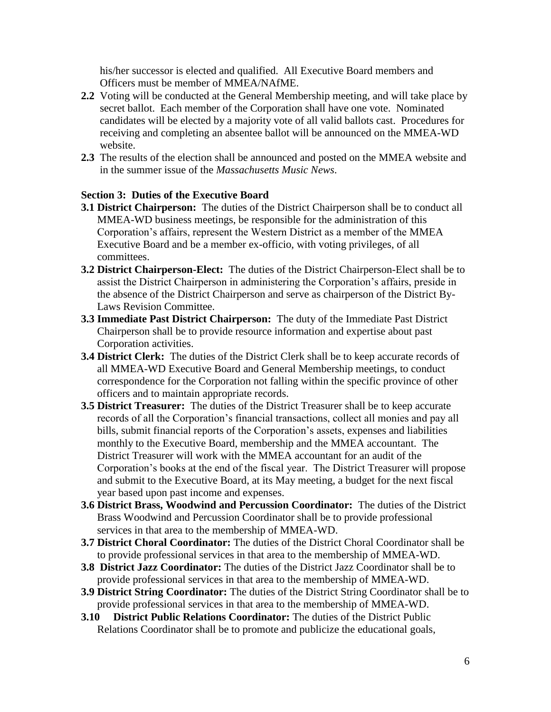his/her successor is elected and qualified. All Executive Board members and Officers must be member of MMEA/NAfME.

- **2.2** Voting will be conducted at the General Membership meeting, and will take place by secret ballot. Each member of the Corporation shall have one vote. Nominated candidates will be elected by a majority vote of all valid ballots cast. Procedures for receiving and completing an absentee ballot will be announced on the MMEA-WD website.
- **2.3** The results of the election shall be announced and posted on the MMEA website and in the summer issue of the *Massachusetts Music News*.

# **Section 3: Duties of the Executive Board**

- **3.1 District Chairperson:** The duties of the District Chairperson shall be to conduct all MMEA-WD business meetings, be responsible for the administration of this Corporation's affairs, represent the Western District as a member of the MMEA Executive Board and be a member ex-officio, with voting privileges, of all committees.
- **3.2 District Chairperson-Elect:** The duties of the District Chairperson-Elect shall be to assist the District Chairperson in administering the Corporation's affairs, preside in the absence of the District Chairperson and serve as chairperson of the District By-Laws Revision Committee.
- **3.3 Immediate Past District Chairperson:** The duty of the Immediate Past District Chairperson shall be to provide resource information and expertise about past Corporation activities.
- **3.4 District Clerk:** The duties of the District Clerk shall be to keep accurate records of all MMEA-WD Executive Board and General Membership meetings, to conduct correspondence for the Corporation not falling within the specific province of other officers and to maintain appropriate records.
- **3.5 District Treasurer:** The duties of the District Treasurer shall be to keep accurate records of all the Corporation's financial transactions, collect all monies and pay all bills, submit financial reports of the Corporation's assets, expenses and liabilities monthly to the Executive Board, membership and the MMEA accountant. The District Treasurer will work with the MMEA accountant for an audit of the Corporation's books at the end of the fiscal year. The District Treasurer will propose and submit to the Executive Board, at its May meeting, a budget for the next fiscal year based upon past income and expenses.
- **3.6 District Brass, Woodwind and Percussion Coordinator:** The duties of the District Brass Woodwind and Percussion Coordinator shall be to provide professional services in that area to the membership of MMEA-WD.
- **3.7 District Choral Coordinator:** The duties of the District Choral Coordinator shall be to provide professional services in that area to the membership of MMEA-WD.
- **3.8 District Jazz Coordinator:** The duties of the District Jazz Coordinator shall be to provide professional services in that area to the membership of MMEA-WD.
- **3.9 District String Coordinator:** The duties of the District String Coordinator shall be to provide professional services in that area to the membership of MMEA-WD.
- **3.10 District Public Relations Coordinator:** The duties of the District Public Relations Coordinator shall be to promote and publicize the educational goals,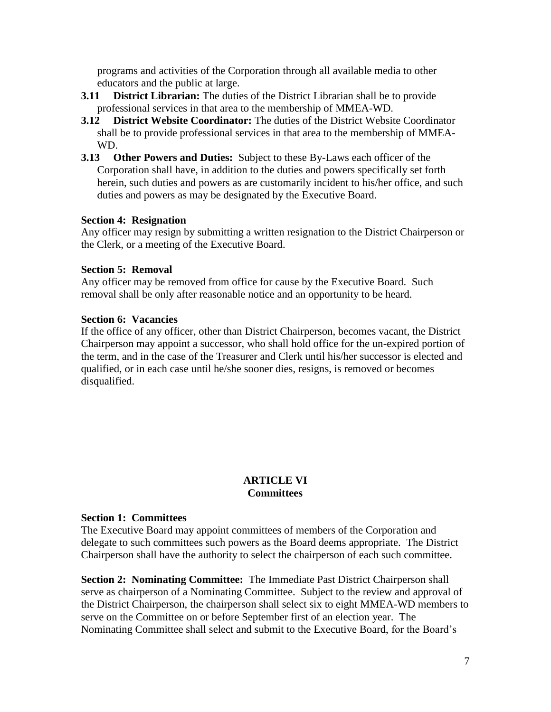programs and activities of the Corporation through all available media to other educators and the public at large.

- **3.11 District Librarian:** The duties of the District Librarian shall be to provide professional services in that area to the membership of MMEA-WD.
- **3.12 District Website Coordinator:** The duties of the District Website Coordinator shall be to provide professional services in that area to the membership of MMEA-WD.
- **3.13 Other Powers and Duties:** Subject to these By-Laws each officer of the Corporation shall have, in addition to the duties and powers specifically set forth herein, such duties and powers as are customarily incident to his/her office, and such duties and powers as may be designated by the Executive Board.

# **Section 4: Resignation**

Any officer may resign by submitting a written resignation to the District Chairperson or the Clerk, or a meeting of the Executive Board.

## **Section 5: Removal**

Any officer may be removed from office for cause by the Executive Board. Such removal shall be only after reasonable notice and an opportunity to be heard.

# **Section 6: Vacancies**

If the office of any officer, other than District Chairperson, becomes vacant, the District Chairperson may appoint a successor, who shall hold office for the un-expired portion of the term, and in the case of the Treasurer and Clerk until his/her successor is elected and qualified, or in each case until he/she sooner dies, resigns, is removed or becomes disqualified.

# **ARTICLE VI Committees**

## **Section 1: Committees**

The Executive Board may appoint committees of members of the Corporation and delegate to such committees such powers as the Board deems appropriate. The District Chairperson shall have the authority to select the chairperson of each such committee.

**Section 2: Nominating Committee:** The Immediate Past District Chairperson shall serve as chairperson of a Nominating Committee. Subject to the review and approval of the District Chairperson, the chairperson shall select six to eight MMEA-WD members to serve on the Committee on or before September first of an election year. The Nominating Committee shall select and submit to the Executive Board, for the Board's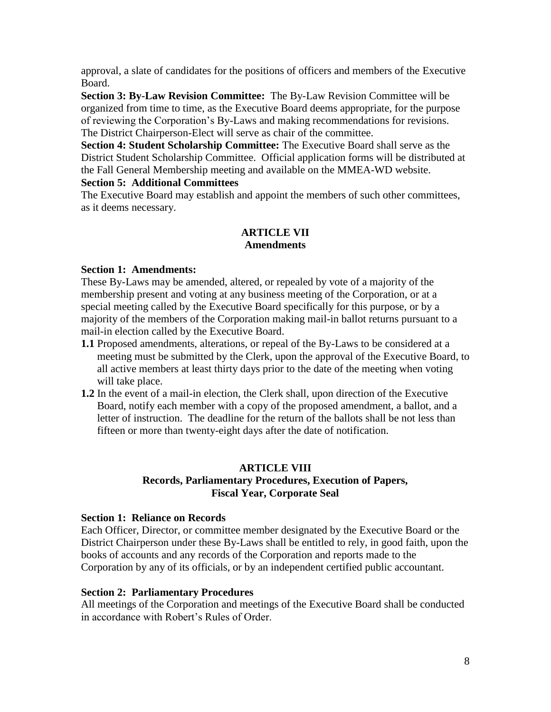approval, a slate of candidates for the positions of officers and members of the Executive Board.

**Section 3: By-Law Revision Committee:** The By-Law Revision Committee will be organized from time to time, as the Executive Board deems appropriate, for the purpose of reviewing the Corporation's By-Laws and making recommendations for revisions. The District Chairperson-Elect will serve as chair of the committee.

**Section 4: Student Scholarship Committee:** The Executive Board shall serve as the District Student Scholarship Committee. Official application forms will be distributed at the Fall General Membership meeting and available on the MMEA-WD website.

# **Section 5: Additional Committees**

The Executive Board may establish and appoint the members of such other committees, as it deems necessary.

# **ARTICLE VII Amendments**

# **Section 1: Amendments:**

These By-Laws may be amended, altered, or repealed by vote of a majority of the membership present and voting at any business meeting of the Corporation, or at a special meeting called by the Executive Board specifically for this purpose, or by a majority of the members of the Corporation making mail-in ballot returns pursuant to a mail-in election called by the Executive Board.

- **1.1** Proposed amendments, alterations, or repeal of the By-Laws to be considered at a meeting must be submitted by the Clerk, upon the approval of the Executive Board, to all active members at least thirty days prior to the date of the meeting when voting will take place.
- **1.2** In the event of a mail-in election, the Clerk shall, upon direction of the Executive Board, notify each member with a copy of the proposed amendment, a ballot, and a letter of instruction. The deadline for the return of the ballots shall be not less than fifteen or more than twenty-eight days after the date of notification.

# **ARTICLE VIII Records, Parliamentary Procedures, Execution of Papers, Fiscal Year, Corporate Seal**

## **Section 1: Reliance on Records**

Each Officer, Director, or committee member designated by the Executive Board or the District Chairperson under these By-Laws shall be entitled to rely, in good faith, upon the books of accounts and any records of the Corporation and reports made to the Corporation by any of its officials, or by an independent certified public accountant.

# **Section 2: Parliamentary Procedures**

All meetings of the Corporation and meetings of the Executive Board shall be conducted in accordance with Robert's Rules of Order.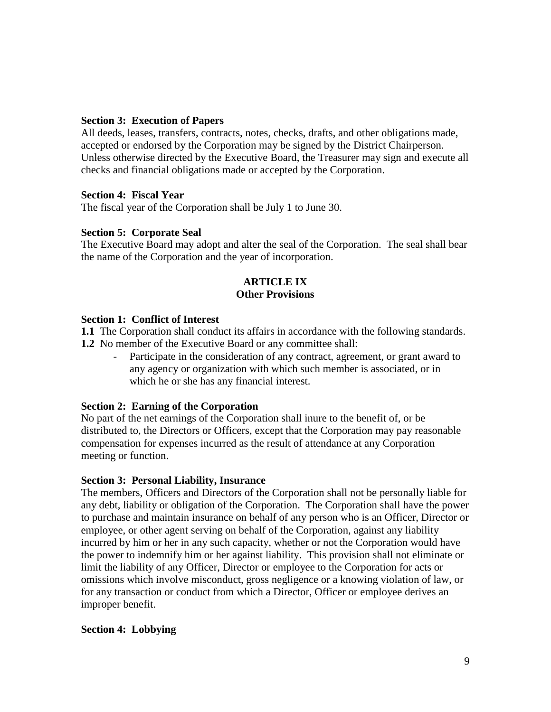# **Section 3: Execution of Papers**

All deeds, leases, transfers, contracts, notes, checks, drafts, and other obligations made, accepted or endorsed by the Corporation may be signed by the District Chairperson. Unless otherwise directed by the Executive Board, the Treasurer may sign and execute all checks and financial obligations made or accepted by the Corporation.

# **Section 4: Fiscal Year**

The fiscal year of the Corporation shall be July 1 to June 30.

# **Section 5: Corporate Seal**

The Executive Board may adopt and alter the seal of the Corporation. The seal shall bear the name of the Corporation and the year of incorporation.

# **ARTICLE IX Other Provisions**

# **Section 1: Conflict of Interest**

**1.1** The Corporation shall conduct its affairs in accordance with the following standards. **1.2** No member of the Executive Board or any committee shall:

Participate in the consideration of any contract, agreement, or grant award to any agency or organization with which such member is associated, or in which he or she has any financial interest.

# **Section 2: Earning of the Corporation**

No part of the net earnings of the Corporation shall inure to the benefit of, or be distributed to, the Directors or Officers, except that the Corporation may pay reasonable compensation for expenses incurred as the result of attendance at any Corporation meeting or function.

# **Section 3: Personal Liability, Insurance**

The members, Officers and Directors of the Corporation shall not be personally liable for any debt, liability or obligation of the Corporation. The Corporation shall have the power to purchase and maintain insurance on behalf of any person who is an Officer, Director or employee, or other agent serving on behalf of the Corporation, against any liability incurred by him or her in any such capacity, whether or not the Corporation would have the power to indemnify him or her against liability. This provision shall not eliminate or limit the liability of any Officer, Director or employee to the Corporation for acts or omissions which involve misconduct, gross negligence or a knowing violation of law, or for any transaction or conduct from which a Director, Officer or employee derives an improper benefit.

# **Section 4: Lobbying**